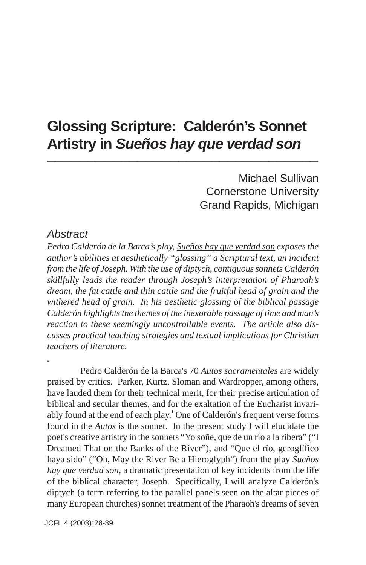# **Glossing Scripture: Calderón's Sonnet Artistry in** *Sueños hay que verdad son* **\_\_\_\_\_\_\_\_\_\_\_\_\_\_\_\_\_\_\_\_\_\_\_\_\_\_\_\_\_\_\_\_\_**

Michael Sullivan Cornerstone University Grand Rapids, Michigan

#### *Abstract*

*.*

*Pedro Calderón de la Barca's play, Sueños hay que verdad son exposes the author's abilities at aesthetically "glossing" a Scriptural text, an incident from the life of Joseph. With the use of diptych, contiguous sonnets Calderón skillfully leads the reader through Joseph's interpretation of Pharoah's dream, the fat cattle and thin cattle and the fruitful head of grain and the withered head of grain. In his aesthetic glossing of the biblical passage Calderón highlights the themes of the inexorable passage of time and man's reaction to these seemingly uncontrollable events. The article also discusses practical teaching strategies and textual implications for Christian teachers of literature.*

Pedro Calderón de la Barca's 70 *Autos sacramentales* are widely praised by critics. Parker, Kurtz, Sloman and Wardropper, among others, have lauded them for their technical merit, for their precise articulation of biblical and secular themes, and for the exaltation of the Eucharist invariably found at the end of each play.<sup>1</sup> One of Calderón's frequent verse forms found in the *Autos* is the sonnet. In the present study I will elucidate the poet's creative artistry in the sonnets "Yo soñe, que de un río a la ribera" ("I Dreamed That on the Banks of the River"), and "Que el río, geroglífico haya sido" ("Oh, May the River Be a Hieroglyph") from the play *Sueños hay que verdad son*, a dramatic presentation of key incidents from the life of the biblical character, Joseph. Specifically, I will analyze Calderón's diptych (a term referring to the parallel panels seen on the altar pieces of many European churches) sonnet treatment of the Pharaoh's dreams of seven

JCFL 4 (2003): 28-39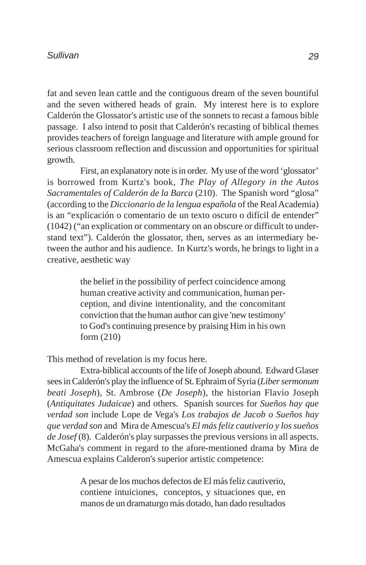fat and seven lean cattle and the contiguous dream of the seven bountiful and the seven withered heads of grain. My interest here is to explore Calderón the Glossator's artistic use of the sonnets to recast a famous bible passage. I also intend to posit that Calderón's recasting of biblical themes provides teachers of foreign language and literature with ample ground for serious classroom reflection and discussion and opportunities for spiritual growth.

First, an explanatory note is in order. My use of the word 'glossator' is borrowed from Kurtz's book, *The Play of Allegory in the Autos Sacramentales of Calderón de la Barca* (210). The Spanish word "glosa" (according to the *Diccionario de la lengua española* of the Real Academia) is an "explicación o comentario de un texto oscuro o difícil de entender" (1042) ("an explication or commentary on an obscure or difficult to understand text"). Calderón the glossator, then, serves as an intermediary between the author and his audience. In Kurtz's words, he brings to light in a creative, aesthetic way

> the belief in the possibility of perfect coincidence among human creative activity and communication, human perception, and divine intentionality, and the concomitant conviction that the human author can give 'new testimony' to God's continuing presence by praising Him in his own form (210)

This method of revelation is my focus here.

Extra-biblical accounts of the life of Joseph abound. Edward Glaser sees in Calderón's play the influence of St. Ephraim of Syria (*Liber sermonum beati Joseph*), St. Ambrose (*De Joseph*), the historian Flavio Joseph (*Antiquitates Judaicae*) and others. Spanish sources for *Sueños hay que verdad son* include Lope de Vega's *Los trabajos de Jacob o Sueños hay que verdad son* and Mira de Amescua's *El más feliz cautiverio y los sueños de Josef* (8). Calderón's play surpasses the previous versions in all aspects. McGaha's comment in regard to the afore-mentioned drama by Mira de Amescua explains Calderon's superior artistic competence:

> A pesar de los muchos defectos de El más feliz cautiverio, contiene intuiciones, conceptos, y situaciones que, en manos de un dramaturgo más dotado, han dado resultados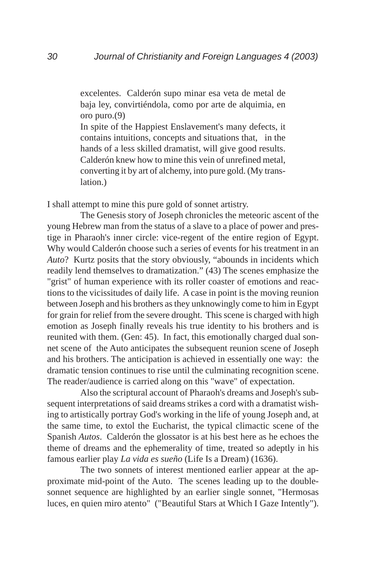excelentes. Calderón supo minar esa veta de metal de baja ley, convirtiéndola, como por arte de alquimia, en oro puro.(9)

In spite of the Happiest Enslavement's many defects, it contains intuitions, concepts and situations that, in the hands of a less skilled dramatist, will give good results. Calderón knew how to mine this vein of unrefined metal, converting it by art of alchemy, into pure gold. (My translation.)

I shall attempt to mine this pure gold of sonnet artistry.

The Genesis story of Joseph chronicles the meteoric ascent of the young Hebrew man from the status of a slave to a place of power and prestige in Pharaoh's inner circle: vice-regent of the entire region of Egypt. Why would Calderón choose such a series of events for his treatment in an *Auto*? Kurtz posits that the story obviously, "abounds in incidents which readily lend themselves to dramatization." (43) The scenes emphasize the "grist" of human experience with its roller coaster of emotions and reactions to the vicissitudes of daily life. A case in point is the moving reunion between Joseph and his brothers as they unknowingly come to him in Egypt for grain for relief from the severe drought. This scene is charged with high emotion as Joseph finally reveals his true identity to his brothers and is reunited with them. (Gen: 45). In fact, this emotionally charged dual sonnet scene of the Auto anticipates the subsequent reunion scene of Joseph and his brothers. The anticipation is achieved in essentially one way: the dramatic tension continues to rise until the culminating recognition scene. The reader/audience is carried along on this "wave" of expectation.

Also the scriptural account of Pharaoh's dreams and Joseph's subsequent interpretations of said dreams strikes a cord with a dramatist wishing to artistically portray God's working in the life of young Joseph and, at the same time, to extol the Eucharist, the typical climactic scene of the Spanish *Autos*. Calderón the glossator is at his best here as he echoes the theme of dreams and the ephemerality of time, treated so adeptly in his famous earlier play *La vida es sueño* (Life Is a Dream) (1636).

The two sonnets of interest mentioned earlier appear at the approximate mid-point of the Auto. The scenes leading up to the doublesonnet sequence are highlighted by an earlier single sonnet, "Hermosas luces, en quien miro atento" ("Beautiful Stars at Which I Gaze Intently").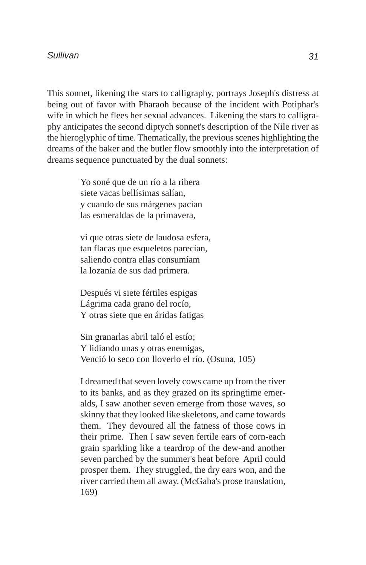This sonnet, likening the stars to calligraphy, portrays Joseph's distress at being out of favor with Pharaoh because of the incident with Potiphar's wife in which he flees her sexual advances. Likening the stars to calligraphy anticipates the second diptych sonnet's description of the Nile river as the hieroglyphic of time. Thematically, the previous scenes highlighting the dreams of the baker and the butler flow smoothly into the interpretation of dreams sequence punctuated by the dual sonnets:

> Yo soné que de un río a la ribera siete vacas bellísimas salían, y cuando de sus márgenes pacían las esmeraldas de la primavera,

vi que otras siete de laudosa esfera, tan flacas que esqueletos parecían, saliendo contra ellas consumíam la lozanía de sus dad primera.

Después vi siete fértiles espigas Lágrima cada grano del rocío, Y otras siete que en áridas fatigas

Sin granarlas abril taló el estío; Y lidiando unas y otras enemigas, Venció lo seco con lloverlo el río. (Osuna, 105)

I dreamed that seven lovely cows came up from the river to its banks, and as they grazed on its springtime emeralds, I saw another seven emerge from those waves, so skinny that they looked like skeletons, and came towards them. They devoured all the fatness of those cows in their prime. Then I saw seven fertile ears of corn-each grain sparkling like a teardrop of the dew-and another seven parched by the summer's heat before April could prosper them. They struggled, the dry ears won, and the river carried them all away. (McGaha's prose translation, 169)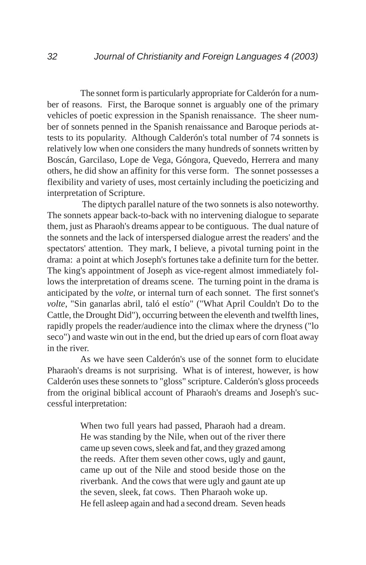The sonnet form is particularly appropriate for Calderón for a number of reasons. First, the Baroque sonnet is arguably one of the primary vehicles of poetic expression in the Spanish renaissance. The sheer number of sonnets penned in the Spanish renaissance and Baroque periods attests to its popularity. Although Calderón's total number of 74 sonnets is relatively low when one considers the many hundreds of sonnets written by Boscán, Garcilaso, Lope de Vega, Góngora, Quevedo, Herrera and many others, he did show an affinity for this verse form. The sonnet possesses a flexibility and variety of uses, most certainly including the poeticizing and interpretation of Scripture.

 The diptych parallel nature of the two sonnets is also noteworthy. The sonnets appear back-to-back with no intervening dialogue to separate them, just as Pharaoh's dreams appear to be contiguous. The dual nature of the sonnets and the lack of interspersed dialogue arrest the readers' and the spectators' attention. They mark, I believe, a pivotal turning point in the drama: a point at which Joseph's fortunes take a definite turn for the better. The king's appointment of Joseph as vice-regent almost immediately follows the interpretation of dreams scene. The turning point in the drama is anticipated by the *volte*, or internal turn of each sonnet. The first sonnet's *volte*, "Sin ganarlas abril, taló el estío" ("What April Couldn't Do to the Cattle, the Drought Did"), occurring between the eleventh and twelfth lines, rapidly propels the reader/audience into the climax where the dryness ("lo seco") and waste win out in the end, but the dried up ears of corn float away in the river.

As we have seen Calderón's use of the sonnet form to elucidate Pharaoh's dreams is not surprising. What is of interest, however, is how Calderón uses these sonnets to "gloss" scripture. Calderón's gloss proceeds from the original biblical account of Pharaoh's dreams and Joseph's successful interpretation:

> When two full years had passed, Pharaoh had a dream. He was standing by the Nile, when out of the river there came up seven cows, sleek and fat, and they grazed among the reeds. After them seven other cows, ugly and gaunt, came up out of the Nile and stood beside those on the riverbank. And the cows that were ugly and gaunt ate up the seven, sleek, fat cows. Then Pharaoh woke up. He fell asleep again and had a second dream. Seven heads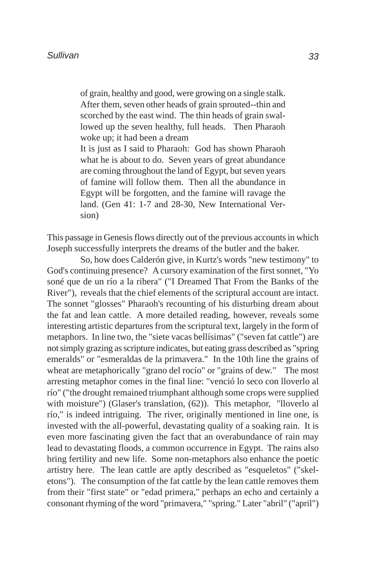of grain, healthy and good, were growing on a single stalk. After them, seven other heads of grain sprouted--thin and scorched by the east wind. The thin heads of grain swallowed up the seven healthy, full heads. Then Pharaoh woke up; it had been a dream

It is just as I said to Pharaoh: God has shown Pharaoh what he is about to do. Seven years of great abundance are coming throughout the land of Egypt, but seven years of famine will follow them. Then all the abundance in Egypt will be forgotten, and the famine will ravage the land. (Gen 41: 1-7 and 28-30, New International Version)

This passage in Genesis flows directly out of the previous accounts in which Joseph successfully interprets the dreams of the butler and the baker.

So, how does Calderón give, in Kurtz's words "new testimony" to God's continuing presence? A cursory examination of the first sonnet, "Yo soné que de un río a la ribera" ("I Dreamed That From the Banks of the River"), reveals that the chief elements of the scriptural account are intact. The sonnet "glosses" Pharaoh's recounting of his disturbing dream about the fat and lean cattle. A more detailed reading, however, reveals some interesting artistic departures from the scriptural text, largely in the form of metaphors. In line two, the "siete vacas bellísimas" ("seven fat cattle") are not simply grazing as scripture indicates, but eating grass described as "spring emeralds" or "esmeraldas de la primavera." In the 10th line the grains of wheat are metaphorically "grano del rocío" or "grains of dew." The most arresting metaphor comes in the final line: "venció lo seco con lloverlo al río" ("the drought remained triumphant although some crops were supplied with moisture") (Glaser's translation,  $(62)$ ). This metaphor, "lloverlo al río," is indeed intriguing. The river, originally mentioned in line one, is invested with the all-powerful, devastating quality of a soaking rain. It is even more fascinating given the fact that an overabundance of rain may lead to devastating floods, a common occurrence in Egypt. The rains also bring fertility and new life. Some non-metaphors also enhance the poetic artistry here. The lean cattle are aptly described as "esqueletos" ("skeletons"). The consumption of the fat cattle by the lean cattle removes them from their "first state" or "edad primera," perhaps an echo and certainly a consonant rhyming of the word "primavera," "spring." Later "abril" ("april")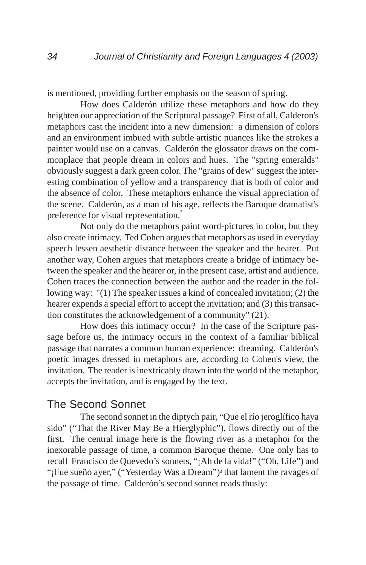is mentioned, providing further emphasis on the season of spring.

How does Calderón utilize these metaphors and how do they heighten our appreciation of the Scriptural passage? First of all, Calderon's metaphors cast the incident into a new dimension: a dimension of colors and an environment imbued with subtle artistic nuances like the strokes a painter would use on a canvas. Calderón the glossator draws on the commonplace that people dream in colors and hues. The "spring emeralds" obviously suggest a dark green color. The "grains of dew" suggest the interesting combination of yellow and a transparency that is both of color and the absence of color. These metaphors enhance the visual appreciation of the scene. Calderón, as a man of his age, reflects the Baroque dramatist's preference for visual representation.<sup>2</sup>

Not only do the metaphors paint word-pictures in color, but they also create intimacy. Ted Cohen argues that metaphors as used in everyday speech lessen aesthetic distance between the speaker and the hearer. Put another way, Cohen argues that metaphors create a bridge of intimacy between the speaker and the hearer or, in the present case, artist and audience. Cohen traces the connection between the author and the reader in the following way: "(1) The speaker issues a kind of concealed invitation; (2) the hearer expends a special effort to accept the invitation; and (3) this transaction constitutes the acknowledgement of a community" (21).

How does this intimacy occur? In the case of the Scripture passage before us, the intimacy occurs in the context of a familiar biblical passage that narrates a common human experience: dreaming. Calderón's poetic images dressed in metaphors are, according to Cohen's view, the invitation. The reader is inextricably drawn into the world of the metaphor, accepts the invitation, and is engaged by the text.

### The Second Sonnet

The second sonnet in the diptych pair, "Que el río jeroglífico haya sido" ("That the River May Be a Hierglyphic"), flows directly out of the first. The central image here is the flowing river as a metaphor for the inexorable passage of time, a common Baroque theme. One only has to recall Francisco de Quevedo's sonnets, "¡Ah de la vida!" ("Oh, Life") and "¡Fue sueño ayer," ("Yesterday Was a Dream")<sup>3</sup> that lament the ravages of the passage of time. Calderón's second sonnet reads thusly: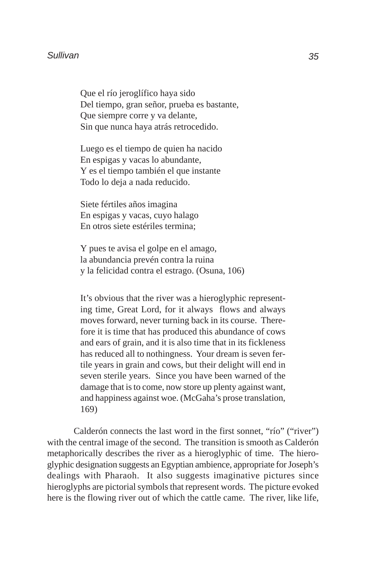Que el río jeroglífico haya sido Del tiempo, gran señor, prueba es bastante, Que siempre corre y va delante, Sin que nunca haya atrás retrocedido.

Luego es el tiempo de quien ha nacido En espigas y vacas lo abundante, Y es el tiempo también el que instante Todo lo deja a nada reducido.

Siete fértiles años imagina En espigas y vacas, cuyo halago En otros siete estériles termina;

Y pues te avisa el golpe en el amago, la abundancia prevén contra la ruina y la felicidad contra el estrago. (Osuna, 106)

It's obvious that the river was a hieroglyphic representing time, Great Lord, for it always flows and always moves forward, never turning back in its course. Therefore it is time that has produced this abundance of cows and ears of grain, and it is also time that in its fickleness has reduced all to nothingness. Your dream is seven fertile years in grain and cows, but their delight will end in seven sterile years. Since you have been warned of the damage that is to come, now store up plenty against want, and happiness against woe. (McGaha's prose translation, 169)

Calderón connects the last word in the first sonnet, "río" ("river") with the central image of the second. The transition is smooth as Calderón metaphorically describes the river as a hieroglyphic of time. The hieroglyphic designation suggests an Egyptian ambience, appropriate for Joseph's dealings with Pharaoh. It also suggests imaginative pictures since hieroglyphs are pictorial symbols that represent words. The picture evoked here is the flowing river out of which the cattle came. The river, like life,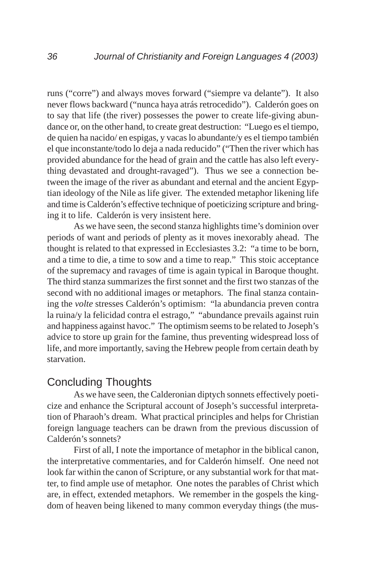runs ("corre") and always moves forward ("siempre va delante"). It also never flows backward ("nunca haya atrás retrocedido"). Calderón goes on to say that life (the river) possesses the power to create life-giving abundance or, on the other hand, to create great destruction: "Luego es el tiempo, de quien ha nacido/ en espigas, y vacas lo abundante/y es el tiempo también el que inconstante/todo lo deja a nada reducido" ("Then the river which has provided abundance for the head of grain and the cattle has also left everything devastated and drought-ravaged"). Thus we see a connection between the image of the river as abundant and eternal and the ancient Egyptian ideology of the Nile as life giver. The extended metaphor likening life and time is Calderón's effective technique of poeticizing scripture and bringing it to life. Calderón is very insistent here.

As we have seen, the second stanza highlights time's dominion over periods of want and periods of plenty as it moves inexorably ahead. The thought is related to that expressed in Ecclesiastes 3.2: "a time to be born, and a time to die, a time to sow and a time to reap." This stoic acceptance of the supremacy and ravages of time is again typical in Baroque thought. The third stanza summarizes the first sonnet and the first two stanzas of the second with no additional images or metaphors. The final stanza containing the *volte* stresses Calderón's optimism: "la abundancia preven contra la ruina/y la felicidad contra el estrago," "abundance prevails against ruin and happiness against havoc." The optimism seems to be related to Joseph's advice to store up grain for the famine, thus preventing widespread loss of life, and more importantly, saving the Hebrew people from certain death by starvation.

### Concluding Thoughts

As we have seen, the Calderonian diptych sonnets effectively poeticize and enhance the Scriptural account of Joseph's successful interpretation of Pharaoh's dream. What practical principles and helps for Christian foreign language teachers can be drawn from the previous discussion of Calderón's sonnets?

First of all, I note the importance of metaphor in the biblical canon, the interpretative commentaries, and for Calderón himself. One need not look far within the canon of Scripture, or any substantial work for that matter, to find ample use of metaphor. One notes the parables of Christ which are, in effect, extended metaphors. We remember in the gospels the kingdom of heaven being likened to many common everyday things (the mus-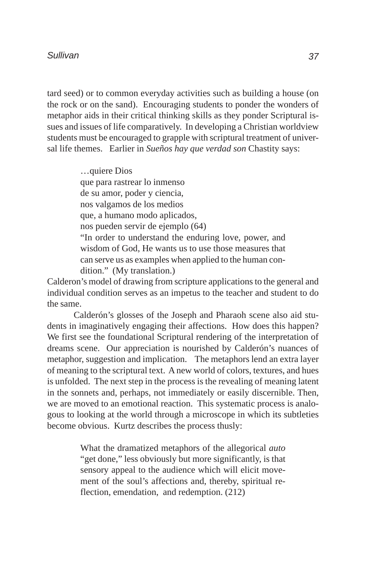#### *Sullivan*

tard seed) or to common everyday activities such as building a house (on the rock or on the sand). Encouraging students to ponder the wonders of metaphor aids in their critical thinking skills as they ponder Scriptural issues and issues of life comparatively. In developing a Christian worldview students must be encouraged to grapple with scriptural treatment of universal life themes. Earlier in *Sueños hay que verdad son* Chastity says:

> …quiere Dios que para rastrear lo inmenso de su amor, poder y ciencia, nos valgamos de los medios que, a humano modo aplicados, nos pueden servir de ejemplo (64) "In order to understand the enduring love, power, and wisdom of God, He wants us to use those measures that can serve us as examples when applied to the human condition." (My translation.)

Calderon's model of drawing from scripture applications to the general and individual condition serves as an impetus to the teacher and student to do the same.

Calderón's glosses of the Joseph and Pharaoh scene also aid students in imaginatively engaging their affections. How does this happen? We first see the foundational Scriptural rendering of the interpretation of dreams scene. Our appreciation is nourished by Calderón's nuances of metaphor, suggestion and implication. The metaphors lend an extra layer of meaning to the scriptural text. A new world of colors, textures, and hues is unfolded. The next step in the process is the revealing of meaning latent in the sonnets and, perhaps, not immediately or easily discernible. Then, we are moved to an emotional reaction. This systematic process is analogous to looking at the world through a microscope in which its subtleties become obvious. Kurtz describes the process thusly:

> What the dramatized metaphors of the allegorical *auto* "get done," less obviously but more significantly, is that sensory appeal to the audience which will elicit movement of the soul's affections and, thereby, spiritual reflection, emendation, and redemption. (212)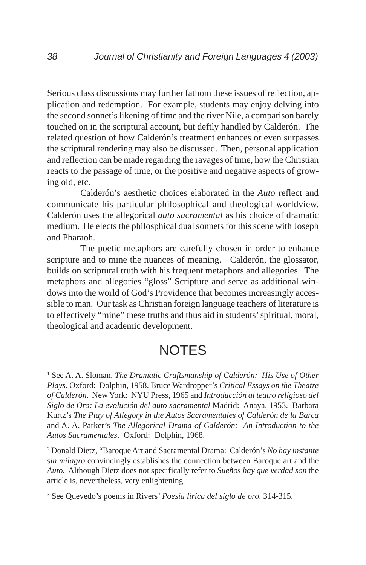Serious class discussions may further fathom these issues of reflection, application and redemption. For example, students may enjoy delving into the second sonnet's likening of time and the river Nile, a comparison barely touched on in the scriptural account, but deftly handled by Calderón. The related question of how Calderón's treatment enhances or even surpasses the scriptural rendering may also be discussed. Then, personal application and reflection can be made regarding the ravages of time, how the Christian reacts to the passage of time, or the positive and negative aspects of growing old, etc.

Calderón's aesthetic choices elaborated in the *Auto* reflect and communicate his particular philosophical and theological worldview. Calderón uses the allegorical *auto sacramental* as his choice of dramatic medium. He elects the philosphical dual sonnets for this scene with Joseph and Pharaoh.

The poetic metaphors are carefully chosen in order to enhance scripture and to mine the nuances of meaning. Calderón, the glossator, builds on scriptural truth with his frequent metaphors and allegories. The metaphors and allegories "gloss" Scripture and serve as additional windows into the world of God's Providence that becomes increasingly accessible to man. Our task as Christian foreign language teachers of literature is to effectively "mine" these truths and thus aid in students' spiritual, moral, theological and academic development.

## **NOTES**

1 See A. A. Sloman. *The Dramatic Craftsmanship of Calderón: His Use of Other Plays*. Oxford: Dolphin, 1958. Bruce Wardropper's *Critical Essays on the Theatre of Calderón*. New York: NYU Press, 1965 and *Introducción al teatro religioso del Siglo de Oro: La evolución del auto sacramental* Madrid: Anaya, 1953. Barbara Kurtz's *The Play of Allegory in the Autos Sacramentales of Calderón de la Barca* and A. A. Parker's *The Allegorical Drama of Calderón: An Introduction to the Autos Sacramentales*. Oxford: Dolphin, 1968.

2 Donald Dietz, "Baroque Art and Sacramental Drama: Calderón's *No hay instante sin milagro* convincingly establishes the connection between Baroque art and the *Auto.* Although Dietz does not specifically refer to *Sueños hay que verdad son* the article is, nevertheless, very enlightening.

3 See Quevedo's poems in Rivers' *Poesía lírica del siglo de oro*. 314-315.